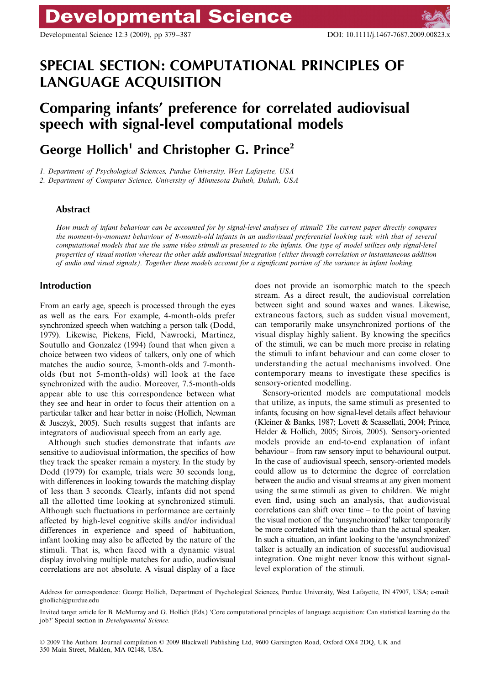# **Developmental Science**

Developmental Science 12:3 (2009), pp 379–387 DOI: 10.1111/j.1467-7687.2009.00823.x

## **SPECIAL SECTION: COMPUTATIONAL PRINCIPLES OF LANGUAGE ACQUISITION**

## **Comparing infants' preference for correlated audiovisual speech with signal-level computational models**

### George Hollich<sup>1</sup> and Christopher G. Prince<sup>2</sup>

*1. Department of Psychological Sciences, Purdue University, West Lafayette, USA*

*2. Department of Computer Science, University of Minnesota Duluth, Duluth, USA*

#### **Abstract**

*How much of infant behaviour can be accounted for by signal-level analyses of stimuli? The current paper directly compares the moment-by-moment behaviour of 8-month-old infants in an audiovisual preferential looking task with that of several computational models that use the same video stimuli as presented to the infants. One type of model utilizes only signal-level properties of visual motion whereas the other adds audiovisual integration (either through correlation or instantaneous addition of audio and visual signals). Together these models account for a significant portion of the variance in infant looking.*

#### **Introduction**

From an early age, speech is processed through the eyes as well as the ears. For example, 4-month-olds prefer synchronized speech when watching a person talk (Dodd, 1979). Likewise, Pickens, Field, Nawrocki, Martinez, Soutullo and Gonzalez (1994) found that when given a choice between two videos of talkers, only one of which matches the audio source, 3-month-olds and 7-montholds (but not 5-month-olds) will look at the face synchronized with the audio. Moreover, 7.5-month-olds appear able to use this correspondence between what they see and hear in order to focus their attention on a particular talker and hear better in noise (Hollich, Newman & Jusczyk, 2005). Such results suggest that infants are integrators of audiovisual speech from an early age.

Although such studies demonstrate that infants *are* sensitive to audiovisual information, the specifics of how they track the speaker remain a mystery. In the study by Dodd (1979) for example, trials were 30 seconds long, with differences in looking towards the matching display of less than 3 seconds. Clearly, infants did not spend all the allotted time looking at synchronized stimuli. Although such fluctuations in performance are certainly affected by high-level cognitive skills and/or individual differences in experience and speed of habituation, infant looking may also be affected by the nature of the stimuli. That is, when faced with a dynamic visual display involving multiple matches for audio, audiovisual correlations are not absolute. A visual display of a face

does not provide an isomorphic match to the speech stream. As a direct result, the audiovisual correlation between sight and sound waxes and wanes. Likewise, extraneous factors, such as sudden visual movement, can temporarily make unsynchronized portions of the visual display highly salient. By knowing the specifics of the stimuli, we can be much more precise in relating the stimuli to infant behaviour and can come closer to understanding the actual mechanisms involved. One contemporary means to investigate these specifics is sensory-oriented modelling.

Sensory-oriented models are computational models that utilize, as inputs, the same stimuli as presented to infants, focusing on how signal-level details affect behaviour (Kleiner & Banks, 1987; Lovett & Scassellati, 2004; Prince, Helder & Hollich, 2005; Sirois, 2005). Sensory-oriented models provide an end-to-end explanation of infant behaviour – from raw sensory input to behavioural output. In the case of audiovisual speech, sensory-oriented models could allow us to determine the degree of correlation between the audio and visual streams at any given moment using the same stimuli as given to children. We might even find, using such an analysis, that audiovisual correlations can shift over time – to the point of having the visual motion of the 'unsynchronized' talker temporarily be more correlated with the audio than the actual speaker. In such a situation, an infant looking to the 'unsynchronized' talker is actually an indication of successful audiovisual integration. One might never know this without signallevel exploration of the stimuli.

Address for correspondence: George Hollich, Department of Psychological Sciences, Purdue University, West Lafayette, IN 47907, USA; e-mail: ghollich@purdue.edu

Invited target article for B. McMurray and G. Hollich (Eds.) 'Core computational principles of language acquisition: Can statistical learning do the job?' Special section in *Developmental Science.*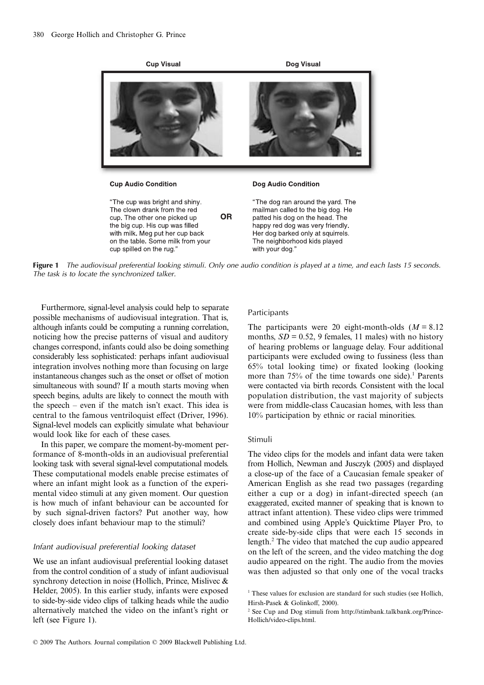

**Figure 1** The audiovisual preferential looking stimuli. Only one audio condition is played at a time, and each lasts 15 seconds. The task is to locate the synchronized talker.

Furthermore, signal-level analysis could help to separate possible mechanisms of audiovisual integration. That is, although infants could be computing a running correlation, noticing how the precise patterns of visual and auditory changes correspond, infants could also be doing something considerably less sophisticated: perhaps infant audiovisual integration involves nothing more than focusing on large instantaneous changes such as the onset or offset of motion simultaneous with sound? If a mouth starts moving when speech begins, adults are likely to connect the mouth with the speech – even if the match isn't exact. This idea is central to the famous ventriloquist effect (Driver, 1996). Signal-level models can explicitly simulate what behaviour would look like for each of these cases.

In this paper, we compare the moment-by-moment performance of 8-month-olds in an audiovisual preferential looking task with several signal-level computational models. These computational models enable precise estimates of where an infant might look as a function of the experimental video stimuli at any given moment. Our question is how much of infant behaviour can be accounted for by such signal-driven factors? Put another way, how closely does infant behaviour map to the stimuli?

#### Infant audiovisual preferential looking dataset

We use an infant audiovisual preferential looking dataset from the control condition of a study of infant audiovisual synchrony detection in noise (Hollich, Prince, Mislivec & Helder, 2005). In this earlier study, infants were exposed to side-by-side video clips of talking heads while the audio alternatively matched the video on the infant's right or left (see Figure 1).

#### Participants

The participants were 20 eight-month-olds  $(M = 8.12)$ months,  $SD = 0.52$ , 9 females, 11 males) with no history of hearing problems or language delay. Four additional participants were excluded owing to fussiness (less than 65% total looking time) or fixated looking (looking more than  $75%$  of the time towards one side).<sup>1</sup> Parents were contacted via birth records. Consistent with the local population distribution, the vast majority of subjects were from middle-class Caucasian homes, with less than 10% participation by ethnic or racial minorities.

#### Stimuli

The video clips for the models and infant data were taken from Hollich, Newman and Jusczyk (2005) and displayed a close-up of the face of a Caucasian female speaker of American English as she read two passages (regarding either a cup or a dog) in infant-directed speech (an exaggerated, excited manner of speaking that is known to attract infant attention). These video clips were trimmed and combined using Apple's Quicktime Player Pro, to create side-by-side clips that were each 15 seconds in length.2 The video that matched the cup audio appeared on the left of the screen, and the video matching the dog audio appeared on the right. The audio from the movies was then adjusted so that only one of the vocal tracks

<sup>&</sup>lt;sup>1</sup> These values for exclusion are standard for such studies (see Hollich, Hirsh-Pasek & Golinkoff, 2000).

<sup>&</sup>lt;sup>2</sup> See Cup and Dog stimuli from http://stimbank.talkbank.org/Prince-Hollich/video-clips.html.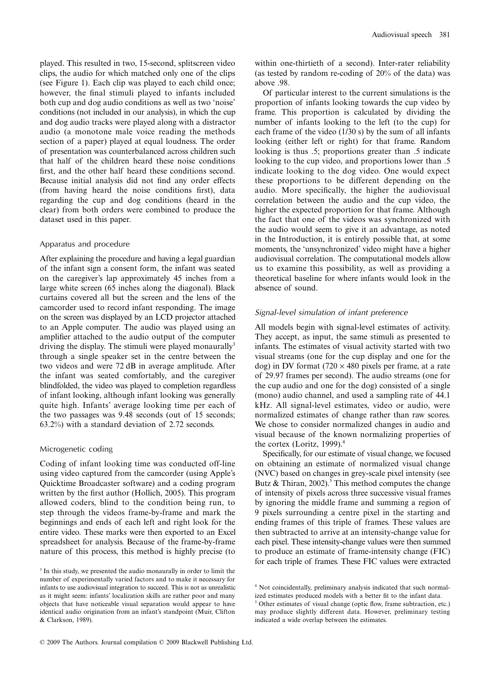played. This resulted in two, 15-second, splitscreen video clips, the audio for which matched only one of the clips (see Figure 1). Each clip was played to each child once; however, the final stimuli played to infants included both cup and dog audio conditions as well as two 'noise' conditions (not included in our analysis), in which the cup and dog audio tracks were played along with a distractor audio (a monotone male voice reading the methods section of a paper) played at equal loudness. The order of presentation was counterbalanced across children such that half of the children heard these noise conditions first, and the other half heard these conditions second. Because initial analysis did not find any order effects (from having heard the noise conditions first), data regarding the cup and dog conditions (heard in the clear) from both orders were combined to produce the dataset used in this paper.

#### Apparatus and procedure

After explaining the procedure and having a legal guardian of the infant sign a consent form, the infant was seated on the caregiver's lap approximately 45 inches from a large white screen (65 inches along the diagonal). Black curtains covered all but the screen and the lens of the camcorder used to record infant responding. The image on the screen was displayed by an LCD projector attached to an Apple computer. The audio was played using an amplifier attached to the audio output of the computer driving the display. The stimuli were played monaurally<sup>3</sup> through a single speaker set in the centre between the two videos and were 72 dB in average amplitude. After the infant was seated comfortably, and the caregiver blindfolded, the video was played to completion regardless of infant looking, although infant looking was generally quite high. Infants' average looking time per each of the two passages was 9.48 seconds (out of 15 seconds; 63.2%) with a standard deviation of 2.72 seconds.

#### Microgenetic coding

Coding of infant looking time was conducted off-line using video captured from the camcorder (using Apple's Quicktime Broadcaster software) and a coding program written by the first author (Hollich, 2005). This program allowed coders, blind to the condition being run, to step through the videos frame-by-frame and mark the beginnings and ends of each left and right look for the entire video. These marks were then exported to an Excel spreadsheet for analysis. Because of the frame-by-frame nature of this process, this method is highly precise (to

within one-thirtieth of a second). Inter-rater reliability (as tested by random re-coding of 20% of the data) was above .98.

Of particular interest to the current simulations is the proportion of infants looking towards the cup video by frame. This proportion is calculated by dividing the number of infants looking to the left (to the cup) for each frame of the video (1/30 s) by the sum of all infants looking (either left or right) for that frame. Random looking is thus .5; proportions greater than .5 indicate looking to the cup video, and proportions lower than .5 indicate looking to the dog video. One would expect these proportions to be different depending on the audio. More specifically, the higher the audiovisual correlation between the audio and the cup video, the higher the expected proportion for that frame. Although the fact that one of the videos was synchronized with the audio would seem to give it an advantage, as noted in the Introduction, it is entirely possible that, at some moments, the 'unsynchronized' video might have a higher audiovisual correlation. The computational models allow us to examine this possibility, as well as providing a theoretical baseline for where infants would look in the absence of sound.

#### Signal-level simulation of infant preference

All models begin with signal-level estimates of activity. They accept, as input, the same stimuli as presented to infants. The estimates of visual activity started with two visual streams (one for the cup display and one for the dog) in DV format  $(720 \times 480)$  pixels per frame, at a rate of 29.97 frames per second). The audio streams (one for the cup audio and one for the dog) consisted of a single (mono) audio channel, and used a sampling rate of 44.1 kHz. All signal-level estimates, video or audio, were normalized estimates of change rather than raw scores. We chose to consider normalized changes in audio and visual because of the known normalizing properties of the cortex (Loritz, 1999). $4$ 

Specifically, for our estimate of visual change, we focused on obtaining an estimate of normalized visual change (NVC) based on changes in grey-scale pixel intensity (see Butz & Thiran, 2002).<sup>5</sup> This method computes the change of intensity of pixels across three successive visual frames by ignoring the middle frame and summing a region of 9 pixels surrounding a centre pixel in the starting and ending frames of this triple of frames. These values are then subtracted to arrive at an intensity-change value for each pixel. These intensity-change values were then summed to produce an estimate of frame-intensity change (FIC) for each triple of frames. These FIC values were extracted

<sup>&</sup>lt;sup>3</sup> In this study, we presented the audio monaurally in order to limit the number of experimentally varied factors and to make it necessary for infants to use audiovisual integration to succeed. This is not as unrealistic as it might seem: infants' localization skills are rather poor and many objects that have noticeable visual separation would appear to have identical audio origination from an infant's standpoint (Muir, Clifton & Clarkson, 1989).

<sup>4</sup> Not coincidentally, preliminary analysis indicated that such normalized estimates produced models with a better fit to the infant data.

<sup>&</sup>lt;sup>5</sup> Other estimates of visual change (optic flow, frame subtraction, etc.) may produce slightly different data. However, preliminary testing indicated a wide overlap between the estimates.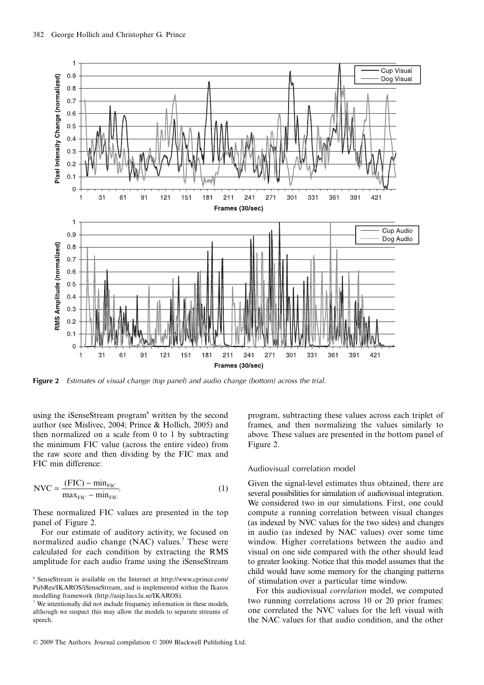

**Figure 2** Estimates of visual change (top panel) and audio change (bottom) across the trial.

using the iSenseStream program<sup>6</sup> written by the second author (see Mislivec, 2004; Prince & Hollich, 2005) and then normalized on a scale from 0 to 1 by subtracting the minimum FIC value (across the entire video) from the raw score and then dividing by the FIC max and FIC min difference:

$$
NVC = \frac{(FIC) - \min_{FIC}}{\max_{FIC} - \min_{FIC}}.
$$
 (1)

These normalized FIC values are presented in the top panel of Figure 2.

For our estimate of auditory activity, we focused on normalized audio change (NAC) values.<sup>7</sup> These were calculated for each condition by extracting the RMS amplitude for each audio frame using the iSenseStream program, subtracting these values across each triplet of frames, and then normalizing the values similarly to above. These values are presented in the bottom panel of Figure 2.

#### Audiovisual correlation model

Given the signal-level estimates thus obtained, there are several possibilities for simulation of audiovisual integration. We considered two in our simulations. First, one could compute a running correlation between visual changes (as indexed by NVC values for the two sides) and changes in audio (as indexed by NAC values) over some time window. Higher correlations between the audio and visual on one side compared with the other should lead to greater looking. Notice that this model assumes that the child would have some memory for the changing patterns of stimulation over a particular time window.

For this audiovisual *correlation* model, we computed two running correlations across 10 or 20 prior frames: one correlated the NVC values for the left visual with the NAC values for that audio condition, and the other

<sup>6</sup> SenseStream is available on the Internet at http://www.cprince.com/ PubRes/IKAROS/iSenseStream, and is implemented within the Ikaros modelling framework (http://asip.lucs.lu.se/IKAROS).

<sup>7</sup> We intentionally did not include frequency information in these models, although we suspect this may allow the models to separate streams of speech.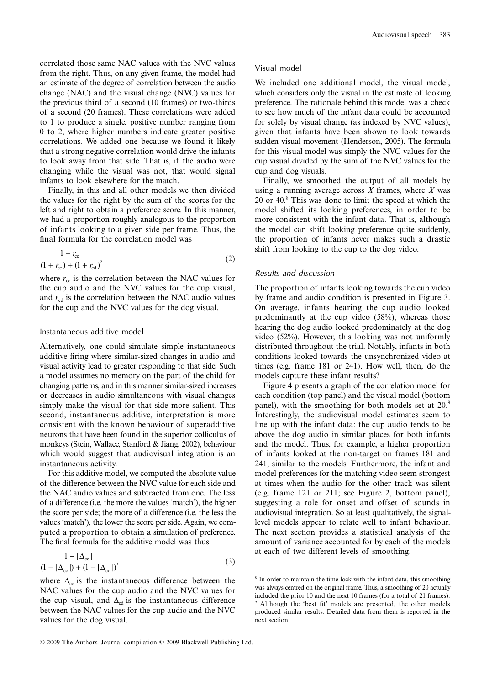correlated those same NAC values with the NVC values from the right. Thus, on any given frame, the model had an estimate of the degree of correlation between the audio change (NAC) and the visual change (NVC) values for the previous third of a second (10 frames) or two-thirds of a second (20 frames). These correlations were added to 1 to produce a single, positive number ranging from 0 to 2, where higher numbers indicate greater positive correlations. We added one because we found it likely that a strong negative correlation would drive the infants to look away from that side. That is, if the audio were changing while the visual was not, that would signal infants to look elsewhere for the match.

Finally, in this and all other models we then divided the values for the right by the sum of the scores for the left and right to obtain a preference score. In this manner, we had a proportion roughly analogous to the proportion of infants looking to a given side per frame. Thus, the final formula for the correlation model was

$$
\frac{1 + r_{\rm cc}}{(1 + r_{\rm cc}) + (1 + r_{\rm cd})},\tag{2}
$$

where  $r_{\rm cc}$  is the correlation between the NAC values for the cup audio and the NVC values for the cup visual, and  $r_{\rm cd}$  is the correlation between the NAC audio values for the cup and the NVC values for the dog visual.

#### Instantaneous additive model

Alternatively, one could simulate simple instantaneous additive firing where similar-sized changes in audio and visual activity lead to greater responding to that side. Such a model assumes no memory on the part of the child for changing patterns, and in this manner similar-sized increases or decreases in audio simultaneous with visual changes simply make the visual for that side more salient. This second, instantaneous additive, interpretation is more consistent with the known behaviour of superadditive neurons that have been found in the superior colliculus of monkeys (Stein, Wallace, Stanford & Jiang, 2002), behaviour which would suggest that audiovisual integration is an instantaneous activity.

For this additive model, we computed the absolute value of the difference between the NVC value for each side and the NAC audio values and subtracted from one. The less of a difference (i.e. the more the values 'match'), the higher the score per side; the more of a difference (i.e. the less the values 'match'), the lower the score per side. Again, we computed a proportion to obtain a simulation of preference. The final formula for the additive model was thus

$$
\frac{1 - |\Delta_{\infty}|}{(1 - |\Delta_{\infty}|) + (1 - |\Delta_{\infty}|)},
$$
\n(3)

where  $\Delta_{cc}$  is the instantaneous difference between the NAC values for the cup audio and the NVC values for the cup visual, and  $\Delta_{cd}$  is the instantaneous difference between the NAC values for the cup audio and the NVC values for the dog visual.

#### Visual model

We included one additional model, the visual model, which considers only the visual in the estimate of looking preference. The rationale behind this model was a check to see how much of the infant data could be accounted for solely by visual change (as indexed by NVC values), given that infants have been shown to look towards sudden visual movement (Henderson, 2005). The formula for this visual model was simply the NVC values for the cup visual divided by the sum of the NVC values for the cup and dog visuals.

Finally, we smoothed the output of all models by using a running average across *X* frames, where *X* was 20 or 40.8 This was done to limit the speed at which the model shifted its looking preferences, in order to be more consistent with the infant data. That is, although the model can shift looking preference quite suddenly, the proportion of infants never makes such a drastic shift from looking to the cup to the dog video.

#### Results and discussion

The proportion of infants looking towards the cup video by frame and audio condition is presented in Figure 3. On average, infants hearing the cup audio looked predominantly at the cup video (58%), whereas those hearing the dog audio looked predominately at the dog video (52%). However, this looking was not uniformly distributed throughout the trial. Notably, infants in both conditions looked towards the unsynchronized video at times (e.g. frame 181 or 241). How well, then, do the models capture these infant results?

Figure 4 presents a graph of the correlation model for each condition (top panel) and the visual model (bottom panel), with the smoothing for both models set at 20.9 Interestingly, the audiovisual model estimates seem to line up with the infant data: the cup audio tends to be above the dog audio in similar places for both infants and the model. Thus, for example, a higher proportion of infants looked at the non-target on frames 181 and 241, similar to the models. Furthermore, the infant and model preferences for the matching video seem strongest at times when the audio for the other track was silent (e.g. frame 121 or 211; see Figure 2, bottom panel), suggesting a role for onset and offset of sounds in audiovisual integration. So at least qualitatively, the signallevel models appear to relate well to infant behaviour. The next section provides a statistical analysis of the amount of variance accounted for by each of the models at each of two different levels of smoothing.

<sup>&</sup>lt;sup>8</sup> In order to maintain the time-lock with the infant data, this smoothing was always centred on the original frame. Thus, a smoothing of 20 actually included the prior 10 and the next 10 frames (for a total of 21 frames). 9 Although the 'best fit' models are presented, the other models produced similar results. Detailed data from them is reported in the next section.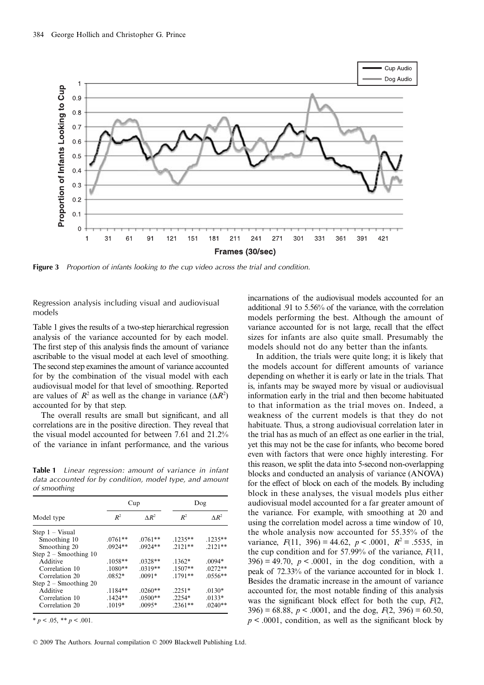

**Figure 3** Proportion of infants looking to the cup video across the trial and condition.

Regression analysis including visual and audiovisual models

Table 1 gives the results of a two-step hierarchical regression analysis of the variance accounted for by each model. The first step of this analysis finds the amount of variance ascribable to the visual model at each level of smoothing. The second step examines the amount of variance accounted for by the combination of the visual model with each audiovisual model for that level of smoothing. Reported are values of  $R^2$  as well as the change in variance ( $\Delta R^2$ ) accounted for by that step.

The overall results are small but significant, and all correlations are in the positive direction. They reveal that the visual model accounted for between 7.61 and 21.2% of the variance in infant performance, and the various

**Table 1** Linear regression: amount of variance in infant data accounted for by condition, model type, and amount of smoothing

| Model type              | Cup       |               | Dog       |               |
|-------------------------|-----------|---------------|-----------|---------------|
|                         | $R^2$     | $\Lambda R^2$ | $R^2$     | $\Lambda R^2$ |
| $Step 1 - Visual$       |           |               |           |               |
| Smoothing 10            | $.0761**$ | $.0761**$     | $.1235**$ | $.1235**$     |
| Smoothing 20            | $.0924**$ | $.0924**$     | $.2121**$ | $2121**$      |
| Step $2$ – Smoothing 10 |           |               |           |               |
| Additive                | $.1058**$ | $.0328**$     | $.1362*$  | $.0094*$      |
| Correlation 10          | $.1080**$ | $.0319**$     | $.1507**$ | $.0272**$     |
| Correlation 20          | $.0852*$  | $.0091*$      | $.1791**$ | $.0556**$     |
| Step $2 -$ Smoothing 20 |           |               |           |               |
| Additive                | $.1184**$ | $.0260**$     | $.2251*$  | $.0130*$      |
| Correlation 10          | $.1424**$ | $.0500**$     | $.2254*$  | $.0133*$      |
| Correlation 20          | $.1019*$  | $.0095*$      | $.2361**$ | $.0240**$     |

 $* p < .05, ** p < .001.$ 

© 2009 The Authors. Journal compilation © 2009 Blackwell Publishing Ltd.

incarnations of the audiovisual models accounted for an additional .91 to 5.56% of the variance, with the correlation models performing the best. Although the amount of variance accounted for is not large, recall that the effect sizes for infants are also quite small. Presumably the models should not do any better than the infants.

In addition, the trials were quite long; it is likely that the models account for different amounts of variance depending on whether it is early or late in the trials. That is, infants may be swayed more by visual or audiovisual information early in the trial and then become habituated to that information as the trial moves on. Indeed, a weakness of the current models is that they do not habituate. Thus, a strong audiovisual correlation later in the trial has as much of an effect as one earlier in the trial, yet this may not be the case for infants, who become bored even with factors that were once highly interesting. For this reason, we split the data into 5-second non-overlapping blocks and conducted an analysis of variance (ANOVA) for the effect of block on each of the models. By including block in these analyses, the visual models plus either audiovisual model accounted for a far greater amount of the variance. For example, with smoothing at 20 and using the correlation model across a time window of 10, the whole analysis now accounted for 55.35% of the variance,  $F(11, 396) = 44.62$ ,  $p < .0001$ ,  $R^2 = .5535$ , in the cup condition and for 57.99% of the variance, *F*(11,  $396$  = 49.70,  $p < .0001$ , in the dog condition, with a peak of 72.33% of the variance accounted for in block 1. Besides the dramatic increase in the amount of variance accounted for, the most notable finding of this analysis was the significant block effect for both the cup, *F*(2, 396) = 68.88,  $p < .0001$ , and the dog,  $F(2, 396) = 60.50$ ,  $p \leq 0.0001$ , condition, as well as the significant block by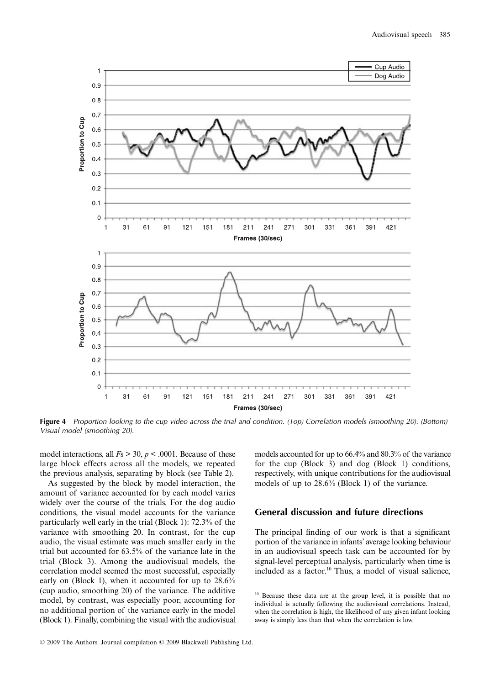

**Figure 4** Proportion looking to the cup video across the trial and condition. (Top) Correlation models (smoothing 20). (Bottom) Visual model (smoothing 20).

model interactions, all  $Fs > 30$ ,  $p < .0001$ . Because of these large block effects across all the models, we repeated the previous analysis, separating by block (see Table 2).

As suggested by the block by model interaction, the amount of variance accounted for by each model varies widely over the course of the trials. For the dog audio conditions, the visual model accounts for the variance particularly well early in the trial (Block 1): 72.3% of the variance with smoothing 20. In contrast, for the cup audio, the visual estimate was much smaller early in the trial but accounted for 63.5% of the variance late in the trial (Block 3). Among the audiovisual models, the correlation model seemed the most successful, especially early on (Block 1), when it accounted for up to 28.6% (cup audio, smoothing 20) of the variance. The additive model, by contrast, was especially poor, accounting for no additional portion of the variance early in the model (Block 1). Finally, combining the visual with the audiovisual models accounted for up to 66.4% and 80.3% of the variance for the cup (Block 3) and dog (Block 1) conditions, respectively, with unique contributions for the audiovisual models of up to 28.6% (Block 1) of the variance.

#### **General discussion and future directions**

The principal finding of our work is that a significant portion of the variance in infants' average looking behaviour in an audiovisual speech task can be accounted for by signal-level perceptual analysis, particularly when time is included as a factor.10 Thus, a model of visual salience,

<sup>&</sup>lt;sup>10</sup> Because these data are at the group level, it is possible that no individual is actually following the audiovisual correlations. Instead, when the correlation is high, the likelihood of any given infant looking away is simply less than that when the correlation is low.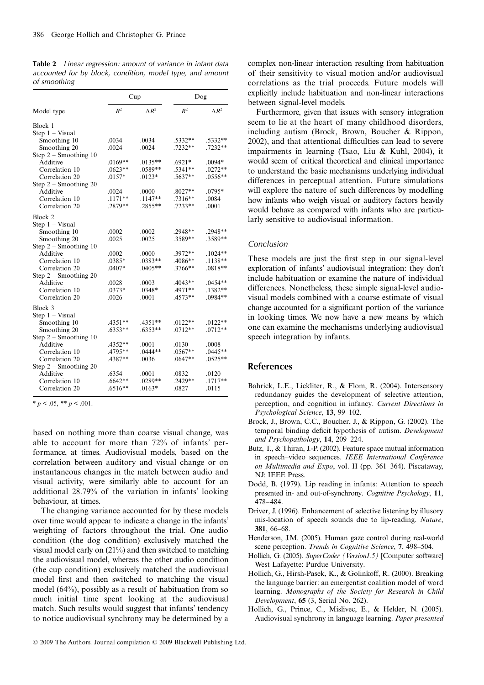**Table 2** Linear regression: amount of variance in infant data accounted for by block, condition, model type, and amount of smoothing

|                         | Cup       |              | Dog              |               |
|-------------------------|-----------|--------------|------------------|---------------|
| Model type              | $R^2$     | $\Delta R^2$ | $R^2$            | $\Lambda R^2$ |
| Block 1                 |           |              |                  |               |
| Step $1 - Visual$       |           |              |                  |               |
| Smoothing 10            | .0034     | .0034        | $.5332**$        | .5332**       |
| Smoothing 20            | .0024     | .0024        | .7232**          | $.7232**$     |
| Step $2 -$ Smoothing 10 |           |              |                  |               |
| Additive                | $.0169**$ | $.0135**$    | .6921*           | .0094*        |
| Correlation 10          | $.0623**$ | $.0589**$    | $.5341**$        | $.0272**$     |
| Correlation 20          | $.0157*$  | $.0123*$     | .5637**          | $.0556**$     |
| Step $2 -$ Smoothing 20 |           |              |                  |               |
| Additive                | .0024     | .0000        | $.8027**$        | .0795*        |
| Correlation 10          | $.1171**$ | $.1147**$    | $.7316**$        | .0084         |
| Correlation 20          | .2879**   | $.2855**$    | .7233**          | .0001         |
|                         |           |              |                  |               |
| Block 2                 |           |              |                  |               |
| Step $1 - Visual$       |           |              |                  |               |
| Smoothing 10            | .0002     | .0002        | .2948**          | .2948**       |
| Smoothing 20            | .0025     | .0025        | $.3589**$        | $.3589**$     |
| Step $2 -$ Smoothing 10 |           |              |                  |               |
| Additive                | .0002     | .0000        | .3972**          | $.1024**$     |
| Correlation 10          | .0385*    | $.0383**$    | .4086**          | $.1138**$     |
| Correlation 20          | $.0407*$  | $.0405**$    | .3766**          | $.0818**$     |
| Step $2 -$ Smoothing 20 |           |              |                  |               |
| Additive                | .0028     | .0003        | $.4043**$        | $.0454**$     |
| Correlation 10          | $.0373*$  | .0348*       | .4971**          | $.1382**$     |
| Correlation 20          | .0026     | .0001        | $.4573**$        | .0984**       |
| Block 3                 |           |              |                  |               |
| Step $1 - Visual$       |           |              |                  |               |
| Smoothing 10            | .4351**   | $.4351**$    | $.0122**$        | $.0122**$     |
| Smoothing 20            | $.6353**$ | $.6353**$    | $.0712**$        | $.0712**$     |
| Step $2 -$ Smoothing 10 |           |              |                  |               |
| Additive                | $.4352**$ | .0001        | .0130            | .0008         |
| Correlation 10          | .4795**   | $.0444**$    | .0567**          | $.0445**$     |
| Correlation 20          | $.4387**$ | .0036        | $.0647**$        | $.0525**$     |
|                         |           |              |                  |               |
| Step $2 -$ Smoothing 20 |           |              |                  |               |
| Additive                | .6354     | .0001        | .0832<br>.2429** | .0120         |
| Correlation 10          | $.6642**$ | $.0289**$    |                  | $.1717**$     |
| Correlation 20          | $.6516**$ | $.0163*$     | .0827            | .0115         |

 $* p < .05, ** p < .001.$ 

based on nothing more than coarse visual change, was able to account for more than 72% of infants' performance, at times. Audiovisual models, based on the correlation between auditory and visual change or on instantaneous changes in the match between audio and visual activity, were similarly able to account for an additional 28.79% of the variation in infants' looking behaviour, at times.

The changing variance accounted for by these models over time would appear to indicate a change in the infants' weighting of factors throughout the trial. One audio condition (the dog condition) exclusively matched the visual model early on (21%) and then switched to matching the audiovisual model, whereas the other audio condition (the cup condition) exclusively matched the audiovisual model first and then switched to matching the visual model (64%), possibly as a result of habituation from so much initial time spent looking at the audiovisual match. Such results would suggest that infants' tendency to notice audiovisual synchrony may be determined by a

complex non-linear interaction resulting from habituation of their sensitivity to visual motion and/or audiovisual correlations as the trial proceeds. Future models will explicitly include habituation and non-linear interactions between signal-level models.

Furthermore, given that issues with sensory integration seem to lie at the heart of many childhood disorders, including autism (Brock, Brown, Boucher & Rippon, 2002), and that attentional difficulties can lead to severe impairments in learning (Tsao, Liu & Kuhl, 2004), it would seem of critical theoretical and clinical importance to understand the basic mechanisms underlying individual differences in perceptual attention. Future simulations will explore the nature of such differences by modelling how infants who weigh visual or auditory factors heavily would behave as compared with infants who are particularly sensitive to audiovisual information.

#### Conclusion

These models are just the first step in our signal-level exploration of infants' audiovisual integration: they don't include habituation or examine the nature of individual differences. Nonetheless, these simple signal-level audiovisual models combined with a coarse estimate of visual change accounted for a significant portion of the variance in looking times. We now have a new means by which one can examine the mechanisms underlying audiovisual speech integration by infants.

#### **References**

- Bahrick, L.E., Lickliter, R., & Flom, R. (2004). Intersensory redundancy guides the development of selective attention, perception, and cognition in infancy. *Current Directions in Psychological Science*, **13**, 99–102.
- Brock, J., Brown, C.C., Boucher, J., & Rippon, G. (2002). The temporal binding deficit hypothesis of autism. *Development and Psychopathology*, **14**, 209–224.
- Butz, T., & Thiran, J.-P. (2002). Feature space mutual information in speech–video sequences. *IEEE International Conference on Multimedia and Expo*, vol. II (pp. 361–364). Piscataway, NJ: IEEE Press.
- Dodd, B. (1979). Lip reading in infants: Attention to speech presented in- and out-of-synchrony. *Cognitive Psychology*, **11**, 478–484.
- Driver, J. (1996). Enhancement of selective listening by illusory mis-location of speech sounds due to lip-reading. *Nature*, **381**, 66–68.
- Henderson, J.M. (2005). Human gaze control during real-world scene perception. *Trends in Cognitive Science*, **7**, 498–504.
- Hollich, G. (2005). *SuperCoder (Version1.5)* [Computer software] West Lafayette: Purdue University.
- Hollich, G., Hirsh-Pasek, K., & Golinkoff, R. (2000). Breaking the language barrier: an emergentist coalition model of word learning. *Monographs of the Society for Research in Child Development*, **65** (3, Serial No. 262).
- Hollich, G., Prince, C., Mislivec, E., & Helder, N. (2005). Audiovisual synchrony in language learning. *Paper presented*